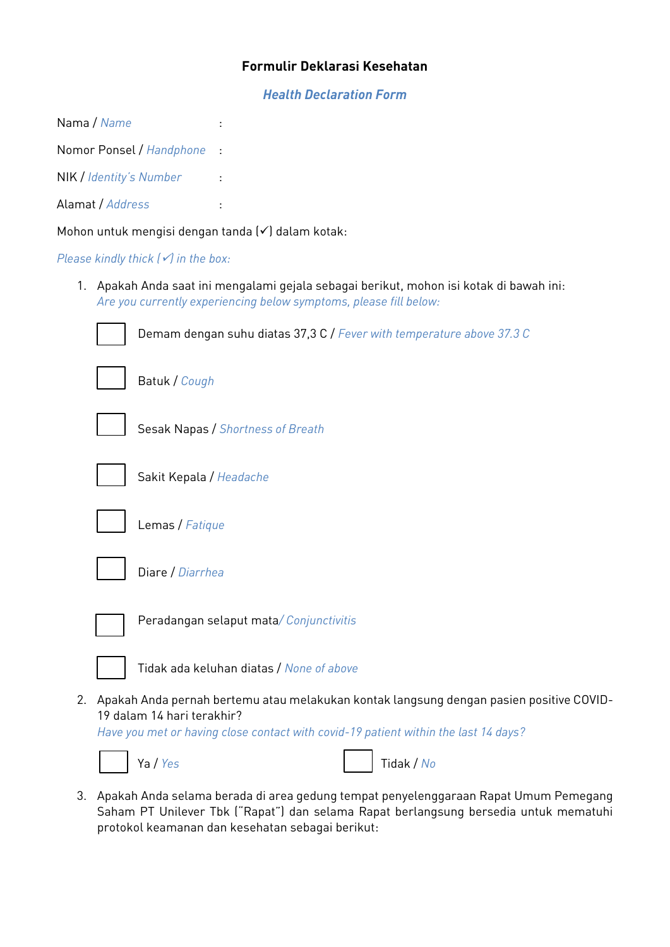## **Formulir Deklarasi Kesehatan**

*Health Declaration Form*

Nama / *Name* :

Nomor Ponsel / *Handphone* :

NIK / *Identity's Number* :

Alamat / *Address* :

Mohon untuk mengisi dengan tanda (✓) dalam kotak:

*Please kindly thick (√) in the box:* 

1. Apakah Anda saat ini mengalami gejala sebagai berikut, mohon isi kotak di bawah ini: *Are you currently experiencing below symptoms, please fill below:* 

|    | Demam dengan suhu diatas 37,3 C / Fever with temperature above 37.3 C                                                                                                                                        |
|----|--------------------------------------------------------------------------------------------------------------------------------------------------------------------------------------------------------------|
|    | Batuk / Cough                                                                                                                                                                                                |
|    | Sesak Napas / Shortness of Breath                                                                                                                                                                            |
|    | Sakit Kepala / Headache                                                                                                                                                                                      |
|    | Lemas / Fatique                                                                                                                                                                                              |
|    | Diare / Diarrhea                                                                                                                                                                                             |
|    | Peradangan selaput mata/ Conjunctivitis                                                                                                                                                                      |
|    | Tidak ada keluhan diatas / None of above                                                                                                                                                                     |
| 2. | Apakah Anda pernah bertemu atau melakukan kontak langsung dengan pasien positive COVID-<br>19 dalam 14 hari terakhir?<br>Have you met or having close contact with covid-19 patient within the last 14 days? |





3. Apakah Anda selama berada di area gedung tempat penyelenggaraan Rapat Umum Pemegang Saham PT Unilever Tbk ("Rapat") dan selama Rapat berlangsung bersedia untuk mematuhi protokol keamanan dan kesehatan sebagai berikut: